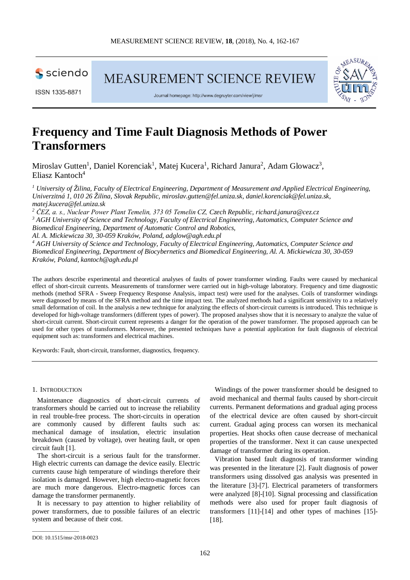

**MEASUREMENT SCIENCE REVIEW** 





Journal homepage: http://www.degruvter.com/view/i/msr

# **Frequency and Time Fault Diagnosis Methods of Power Transformers**

Miroslav Gutten<sup>1</sup>, Daniel Korenciak<sup>1</sup>, Matej Kucera<sup>1</sup>, Richard Janura<sup>2</sup>, Adam Glowacz<sup>3</sup>, Eliasz Kantoch4

*<sup>1</sup> University of Žilina, Faculty of Electrical Engineering, Department of Measurement and Applied Electrical Engineering, Univerzitná 1, 010 26 Žilina, Slovak Republic, miroslav.gutten@fel.uniza.sk, daniel.korenciak@fel.uniza.sk, matej.kucera@fel.uniza.sk*

*<sup>2</sup> ČEZ, a. s., Nuclear Power Plant Temelin, 373 05 Temelin CZ, Czech Republic, richard.janura@cez.cz <sup>3</sup> AGH University of Science and Technology, Faculty of Electrical Engineering, Automatics, Computer Science and Biomedical Engineering, Department of Automatic Control and Robotics,* 

*Al. A. Mickiewicza 30, 30-059 Kraków, Poland, adglow@agh.edu.pl*

*<sup>4</sup> AGH University of Science and Technology, Faculty of Electrical Engineering, Automatics, Computer Science and Biomedical Engineering, Department of Biocybernetics and Biomedical Engineering, Al. A. Mickiewicza 30, 30-059 Kraków, Poland, kantoch@agh.edu.pl*

The authors describe experimental and theoretical analyses of faults of power transformer winding. Faults were caused by mechanical effect of short-circuit currents. Measurements of transformer were carried out in high-voltage laboratory. Frequency and time diagnostic methods (method SFRA - Sweep Frequency Response Analysis, impact test) were used for the analyses. Coils of transformer windings were diagnosed by means of the SFRA method and the time impact test. The analyzed methods had a significant sensitivity to a relatively small deformation of coil. In the analysis a new technique for analyzing the effects of short-circuit currents is introduced. This technique is developed for high-voltage transformers (different types of power). The proposed analyses show that it is necessary to analyze the value of short-circuit current. Short-circuit current represents a danger for the operation of the power transformer. The proposed approach can be used for other types of transformers. Moreover, the presented techniques have a potential application for fault diagnosis of electrical equipment such as: transformers and electrical machines.

Keywords: Fault, short-circuit, transformer, diagnostics, frequency.

### 1. INTRODUCTION

Maintenance diagnostics of short-circuit currents of transformers should be carried out to increase the reliability in real trouble-free process. The short-circuits in operation are commonly caused by different faults such as: mechanical damage of insulation, electric insulation breakdown (caused by voltage), over heating fault, or open circuit fault [1].

The short-circuit is a serious fault for the transformer. High electric currents can damage the device easily. Electric currents cause high temperature of windings therefore their isolation is damaged. However, high electro-magnetic forces are much more dangerous. Electro-magnetic forces can damage the transformer permanently.

It is necessary to pay attention to higher reliability of power transformers, due to possible failures of an electric system and because of their cost.

Windings of the power transformer should be designed to avoid mechanical and thermal faults caused by short-circuit currents. Permanent deformations and gradual aging process of the electrical device are often caused by short-circuit current. Gradual aging process can worsen its mechanical properties. Heat shocks often cause decrease of mechanical properties of the transformer. Next it can cause unexpected damage of transformer during its operation.

Vibration based fault diagnosis of transformer winding was presented in the literature [2]. Fault diagnosis of power transformers using dissolved gas analysis was presented in the literature [3]-[7]. Electrical parameters of transformers were analyzed [8]-[10]. Signal processing and classification methods were also used for proper fault diagnosis of transformers [11]-[14] and other types of machines [15]- [18].

\_\_\_\_\_\_\_\_\_\_\_\_\_\_\_\_\_

DOI: 10.1515/msr-2018-0023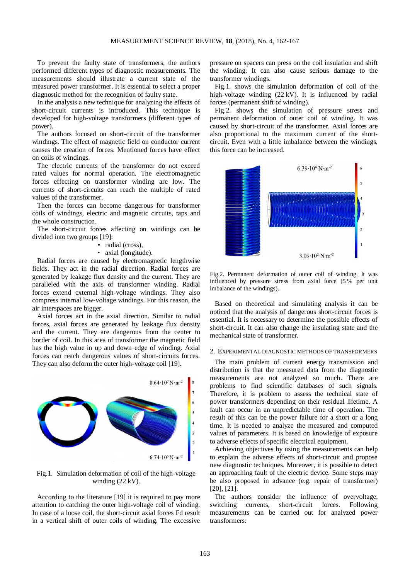To prevent the faulty state of transformers, the authors performed different types of diagnostic measurements. The measurements should illustrate a current state of the measured power transformer. It is essential to select a proper diagnostic method for the recognition of faulty state.

In the analysis a new technique for analyzing the effects of short-circuit currents is introduced. This technique is developed for high-voltage transformers (different types of power).

The authors focused on short-circuit of the transformer windings. The effect of magnetic field on conductor current causes the creation of forces. Mentioned forces have effect on coils of windings.

The electric currents of the transformer do not exceed rated values for normal operation. The electromagnetic forces effecting on transformer winding are low. The currents of short-circuits can reach the multiple of rated values of the transformer.

Then the forces can become dangerous for transformer coils of windings, electric and magnetic circuits, taps and the whole construction.

The short-circuit forces affecting on windings can be divided into two groups [19]:

- radial (cross),
- axial (longitude).

Radial forces are caused by electromagnetic lengthwise fields. They act in the radial direction. Radial forces are generated by leakage flux density and the current. They are paralleled with the axis of transformer winding. Radial forces extend external high-voltage windings. They also compress internal low-voltage windings. For this reason, the air interspaces are bigger.

Axial forces act in the axial direction. Similar to radial forces, axial forces are generated by leakage flux density and the current. They are dangerous from the center to border of coil. In this area of transformer the magnetic field has the high value in up and down edge of winding. Axial forces can reach dangerous values of short-circuits forces. They can also deform the outer high-voltage coil [19].



Fig.1. Simulation deformation of coil of the high-voltage winding (22 kV).

According to the literature [19] it is required to pay more attention to catching the outer high-voltage coil of winding. In case of a loose coil, the short-circuit axial forces Fd result in a vertical shift of outer coils of winding. The excessive pressure on spacers can press on the coil insulation and shift the winding. It can also cause serious damage to the transformer windings.

Fig.1. shows the simulation deformation of coil of the high-voltage winding (22 kV). It is influenced by radial forces (permanent shift of winding).

Fig.2. shows the simulation of pressure stress and permanent deformation of outer coil of winding. It was caused by short-circuit of the transformer. Axial forces are also proportional to the maximum current of the shortcircuit. Even with a little imbalance between the windings, this force can be increased.



Fig.2. Permanent deformation of outer coil of winding. It was influenced by pressure stress from axial force (5 % per unit imbalance of the windings).

Based on theoretical and simulating analysis it can be noticed that the analysis of dangerous short-circuit forces is essential. It is necessary to determine the possible effects of short-circuit. It can also change the insulating state and the mechanical state of transformer.

## 2. EXPERIMENTAL DIAGNOSTIC METHODS OF TRANSFORMERS

The main problem of current energy transmission and distribution is that the measured data from the diagnostic measurements are not analyzed so much. There are problems to find scientific databases of such signals. Therefore, it is problem to assess the technical state of power transformers depending on their residual lifetime. A fault can occur in an unpredictable time of operation. The result of this can be the power failure for a short or a long time. It is needed to analyze the measured and computed values of parameters. It is based on knowledge of exposure to adverse effects of specific electrical equipment.

Achieving objectives by using the measurements can help to explain the adverse effects of short-circuit and propose new diagnostic techniques. Moreover, it is possible to detect an approaching fault of the electric device. Some steps may be also proposed in advance (e.g. repair of transformer) [20], [21].

The authors consider the influence of overvoltage, switching currents, short-circuit forces. Following measurements can be carried out for analyzed power transformers: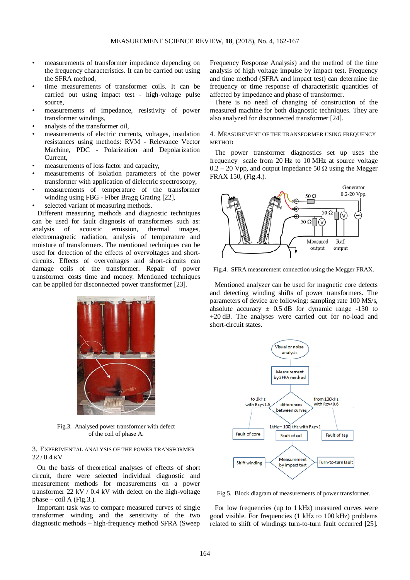- measurements of transformer impedance depending on the frequency characteristics. It can be carried out using the SFRA method,
- time measurements of transformer coils. It can be carried out using impact test - high-voltage pulse source,
- measurements of impedance, resistivity of power transformer windings,
- analysis of the transformer oil,
- measurements of electric currents, voltages, insulation resistances using methods: RVM - Relevance Vector Machine, PDC - Polarization and Depolarization Current,
- measurements of loss factor and capacity,
- measurements of isolation parameters of the power transformer with application of dielectric spectroscopy,
- measurements of temperature of the transformer winding using FBG - Fiber Bragg Grating [22],
- selected variant of measuring methods.

Different measuring methods and diagnostic techniques can be used for fault diagnosis of transformers such as: analysis of acoustic emission, thermal images, electromagnetic radiation, analysis of temperature and moisture of transformers. The mentioned techniques can be used for detection of the effects of overvoltages and shortcircuits. Effects of overvoltages and short-circuits can damage coils of the transformer. Repair of power transformer costs time and money. Mentioned techniques can be applied for disconnected power transformer [23].



Fig.3. Analysed power transformer with defect of the coil of phase A.

3. EXPERIMENTAL ANALYSIS OF THE POWER TRANSFORMER 22 / 0.4 KV

On the basis of theoretical analyses of effects of short circuit, there were selected individual diagnostic and measurement methods for measurements on a power transformer 22 kV / 0.4 kV with defect on the high-voltage phase – coil A (Fig.3.).

Important task was to compare measured curves of single transformer winding and the sensitivity of the two diagnostic methods – high-frequency method SFRA (Sweep

Frequency Response Analysis) and the method of the time analysis of high voltage impulse by impact test. Frequency and time method (SFRA and impact test) can determine the frequency or time response of characteristic quantities of affected by impedance and phase of transformer.

There is no need of changing of construction of the measured machine for both diagnostic techniques. They are also analyzed for disconnected transformer [24].

## 4. MEASUREMENT OF THE TRANSFORMER USING FREQUENCY **METHOD**

The power transformer diagnostics set up uses the frequency scale from 20 Hz to 10 MHz at source voltage  $0.2 - 20$  Vpp, and output impedance 50  $\Omega$  using the Megger FRAX 150, (Fig.4.).



Fig.4. SFRA measurement connection using the Megger FRAX.

Mentioned analyzer can be used for magnetic core defects and detecting winding shifts of power transformers. The parameters of device are following: sampling rate 100 MS/s, absolute accuracy  $\pm$  0.5 dB for dynamic range -130 to +20 dB. The analyses were carried out for no-load and short-circuit states.



Fig.5. Block diagram of measurements of power transformer.

For low frequencies (up to 1 kHz) measured curves were good visible. For frequencies (1 kHz to 100 kHz) problems related to shift of windings turn-to-turn fault occurred [25].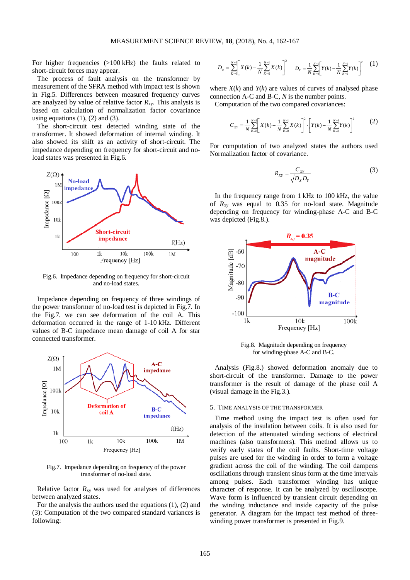For higher frequencies (>100 kHz) the faults related to short-circuit forces may appear.

The process of fault analysis on the transformer by measurement of the SFRA method with impact test is shown in Fig.5. Differences between measured frequency curves are analyzed by value of relative factor  $R_{xy}$ . This analysis is based on calculation of normalization factor covariance using equations  $(1)$ ,  $(2)$  and  $(3)$ .

The short-circuit test detected winding state of the transformer. It showed deformation of internal winding. It also showed its shift as an activity of short-circuit. The impedance depending on frequency for short-circuit and noload states was presented in Fig.6.



Fig.6. Impedance depending on frequency for short-circuit and no-load states.

Impedance depending on frequency of three windings of the power transformer of no-load test is depicted in Fig.7. In the Fig.7. we can see deformation of the coil A. This deformation occurred in the range of 1-10 kHz. Different values of B-C impedance mean damage of coil A for star connected transformer.



Fig.7. Impedance depending on frequency of the power transformer of no-load state.

Relative factor  $R_{xy}$  was used for analyses of differences between analyzed states.

For the analysis the authors used the equations (1), (2) and (3): Computation of the two compared standard variances is following:

$$
D_x = \sum_{k=0}^{N-1} \left[ X(k) - \frac{1}{N} \sum_{k=0}^{N-1} X(k) \right]^2 \qquad D_y = \frac{1}{N} \sum_{k=0}^{N-1} \left[ Y(k) - \frac{1}{N} \sum_{k=0}^{N-1} Y(k) \right]^2 \qquad (1)
$$

where  $X(k)$  and  $Y(k)$  are values of curves of analysed phase connection A-C and B-C, *N* is the number points.

Computation of the two compared covariances:

$$
C_{XY} = \frac{1}{N} \sum_{k=0}^{N-1} \left[ X(k) - \frac{1}{N} \sum_{k=0}^{N-1} X(k) \right]^2 \cdot \left[ Y(k) - \frac{1}{N} \sum_{k=0}^{N-1} Y(k) \right]^2 \tag{2}
$$

For computation of two analyzed states the authors used Normalization factor of covariance.

$$
R_{XY} = \frac{C_{XY}}{\sqrt{D_X D_Y}}\tag{3}
$$

In the frequency range from 1 kHz to 100 kHz, the value of  $R_{xy}$  was equal to 0.35 for no-load state. Magnitude depending on frequency for winding-phase A-C and B-C was depicted (Fig.8.).



Fig.8. Magnitude depending on frequency for winding-phase A-C and B-C.

Analysis (Fig.8.) showed deformation anomaly due to short-circuit of the transformer. Damage to the power transformer is the result of damage of the phase coil A (visual damage in the Fig.3.).

#### 5. TIME ANALYSIS OF THE TRANSFORMER

Time method using the impact test is often used for analysis of the insulation between coils. It is also used for detection of the attenuated winding sections of electrical machines (also transformers). This method allows us to verify early states of the coil faults. Short-time voltage pulses are used for the winding in order to form a voltage gradient across the coil of the winding. The coil dampens oscillations through transient sinus form at the time intervals among pulses. Each transformer winding has unique character of response. It can be analyzed by oscilloscope. Wave form is influenced by transient circuit depending on the winding inductance and inside capacity of the pulse generator. A diagram for the impact test method of threewinding power transformer is presented in Fig.9.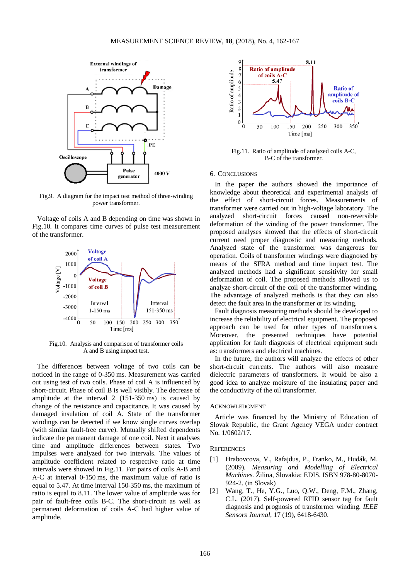

Fig.9. A diagram for the impact test method of three-winding power transformer.

Voltage of coils A and B depending on time was shown in Fig.10. It compares time curves of pulse test measurement of the transformer.



Fig.10. Analysis and comparison of transformer coils A and B using impact test.

The differences between voltage of two coils can be noticed in the range of 0-350 ms. Measurement was carried out using test of two coils. Phase of coil A is influenced by short-circuit. Phase of coil B is well visibly. The decrease of amplitude at the interval 2 (151-350 ms) is caused by change of the resistance and capacitance. It was caused by damaged insulation of coil A. State of the transformer windings can be detected if we know single curves overlap (with similar fault-free curve). Mutually shifted dependents indicate the permanent damage of one coil. Next it analyses time and amplitude differences between states. Two impulses were analyzed for two intervals. The values of amplitude coefficient related to respective ratio at time intervals were showed in Fig.11. For pairs of coils A-B and A-C at interval 0-150 ms, the maximum value of ratio is equal to 5.47. At time interval 150-350 ms, the maximum of ratio is equal to 8.11. The lower value of amplitude was for pair of fault-free coils B-C. The short-circuit as well as permanent deformation of coils A-C had higher value of amplitude.



Fig.11. Ratio of amplitude of analyzed coils A-C, B-C of the transformer.

#### 6. CONCLUSIONS

In the paper the authors showed the importance of knowledge about theoretical and experimental analysis of the effect of short-circuit forces. Measurements of transformer were carried out in high-voltage laboratory. The analyzed short-circuit forces caused non-reversible deformation of the winding of the power transformer. The proposed analyses showed that the effects of short-circuit current need proper diagnostic and measuring methods. Analyzed state of the transformer was dangerous for operation. Coils of transformer windings were diagnosed by means of the SFRA method and time impact test. The analyzed methods had a significant sensitivity for small deformation of coil. The proposed methods allowed us to analyze short-circuit of the coil of the transformer winding. The advantage of analyzed methods is that they can also detect the fault area in the transformer or its winding.

Fault diagnosis measuring methods should be developed to increase the reliability of electrical equipment. The proposed approach can be used for other types of transformers. Moreover, the presented techniques have potential application for fault diagnosis of electrical equipment such as: transformers and electrical machines.

In the future, the authors will analyze the effects of other short-circuit currents. The authors will also measure dielectric parameters of transformers. It would be also a good idea to analyze moisture of the insulating paper and the conductivity of the oil transformer.

#### ACKNOWLEDGMENT

Article was financed by the Ministry of Education of Slovak Republic, the Grant Agency VEGA under contract No. 1/0602/17.

## **REFERENCES**

- [1] Hrabovcova, V., Rafajdus, P., Franko, M., Hudák, M. (2009). *Measuring and Modelling of Electrical Machines*. Žilina, Slovakia: EDIS. ISBN 978-80-8070- 924-2. (in Slovak)
- [2] Wang, T., He, Y.G., Luo, Q.W., Deng, F.M., Zhang, C.L. (2017). Self-powered RFID sensor tag for fault diagnosis and prognosis of transformer winding. *IEEE Sensors Journal*, 17 (19), 6418-6430.